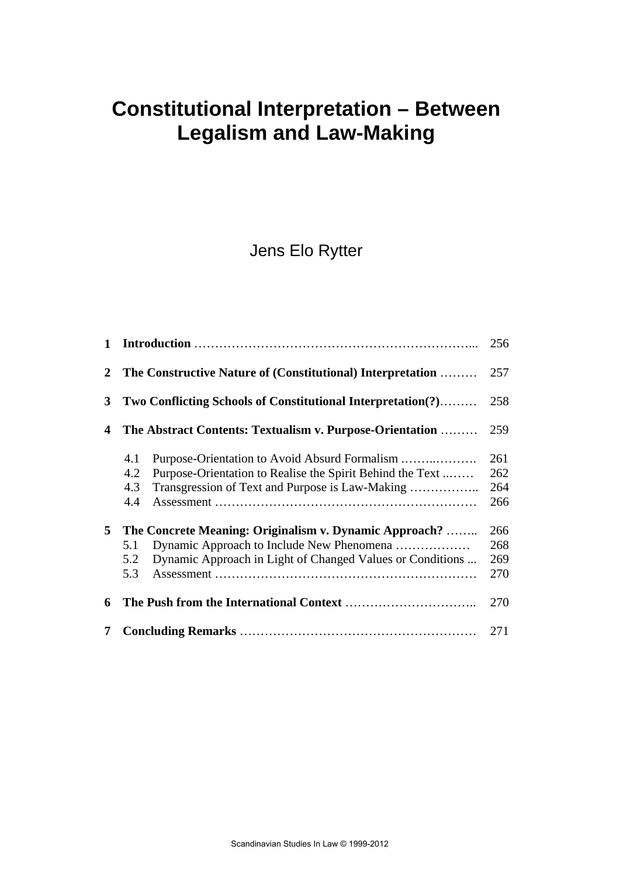# **Constitutional Interpretation – Between Legalism and Law-Making**

Jens Elo Rytter

| $\mathbf{1}$ |                                                                                                                                                                                           | 256                      |
|--------------|-------------------------------------------------------------------------------------------------------------------------------------------------------------------------------------------|--------------------------|
| $\mathbf{2}$ | The Constructive Nature of (Constitutional) Interpretation                                                                                                                                | 257                      |
| $\mathbf{3}$ | Two Conflicting Schools of Constitutional Interpretation(?)                                                                                                                               | 258                      |
| 4            | The Abstract Contents: Textualism v. Purpose-Orientation                                                                                                                                  | 259                      |
|              | Purpose-Orientation to Avoid Absurd Formalism<br>4.1<br>4.2<br>Purpose-Orientation to Realise the Spirit Behind the Text<br>4.3<br>Transgression of Text and Purpose is Law-Making<br>4.4 | 261<br>262<br>264<br>266 |
| 5            | The Concrete Meaning: Originalism v. Dynamic Approach?<br>Dynamic Approach to Include New Phenomena<br>5.1<br>Dynamic Approach in Light of Changed Values or Conditions<br>5.2<br>5.3     | 266<br>268<br>269<br>270 |
| 6            |                                                                                                                                                                                           | 270                      |
| 7            |                                                                                                                                                                                           | 271                      |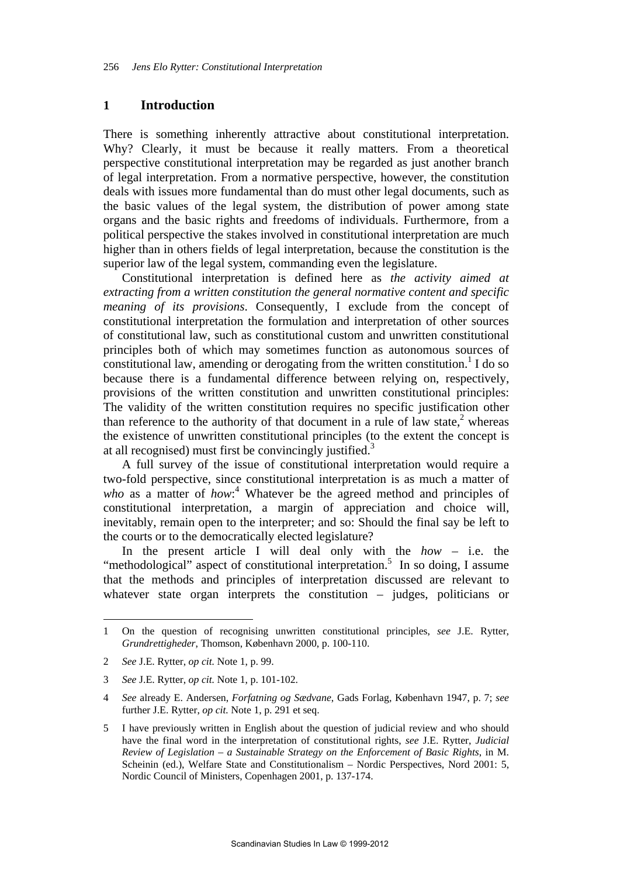#### **1 Introduction**

There is something inherently attractive about constitutional interpretation. Why? Clearly, it must be because it really matters. From a theoretical perspective constitutional interpretation may be regarded as just another branch of legal interpretation. From a normative perspective, however, the constitution deals with issues more fundamental than do must other legal documents, such as the basic values of the legal system, the distribution of power among state organs and the basic rights and freedoms of individuals. Furthermore, from a political perspective the stakes involved in constitutional interpretation are much higher than in others fields of legal interpretation, because the constitution is the superior law of the legal system, commanding even the legislature.

Constitutional interpretation is defined here as *the activity aimed at extracting from a written constitution the general normative content and specific meaning of its provisions*. Consequently, I exclude from the concept of constitutional interpretation the formulation and interpretation of other sources of constitutional law, such as constitutional custom and unwritten constitutional principles both of which may sometimes function as autonomous sources of constitutional law, amending or derogating from the written constitution.<sup>1</sup> I do so because there is a fundamental difference between relying on, respectively, provisions of the written constitution and unwritten constitutional principles: The validity of the written constitution requires no specific justification other than reference to the authority of that document in a rule of law state, $2$  whereas the existence of unwritten constitutional principles (to the extent the concept is at all recognised) must first be convincingly justified. $3$ 

A full survey of the issue of constitutional interpretation would require a two-fold perspective, since constitutional interpretation is as much a matter of who as a matter of *how*:<sup>4</sup> Whatever be the agreed method and principles of constitutional interpretation, a margin of appreciation and choice will, inevitably, remain open to the interpreter; and so: Should the final say be left to the courts or to the democratically elected legislature?

In the present article I will deal only with the *how* – i.e. the "methodological" aspect of constitutional interpretation.<sup>5</sup> In so doing, I assume that the methods and principles of interpretation discussed are relevant to whatever state organ interprets the constitution – judges, politicians or

<sup>1</sup> On the question of recognising unwritten constitutional principles, *see* J.E. Rytter, *Grundrettigheder*, Thomson, København 2000, p. 100-110.

<sup>2</sup> *See* J.E. Rytter, *op cit.* Note 1, p. 99.

<sup>3</sup> *See* J.E. Rytter, *op cit.* Note 1, p. 101-102.

<sup>4</sup> *See* already E. Andersen, *Forfatning og Sædvane*, Gads Forlag, København 1947, p. 7; *see* further J.E. Rytter, *op cit.* Note 1, p. 291 et seq.

<sup>5</sup> I have previously written in English about the question of judicial review and who should have the final word in the interpretation of constitutional rights, *see* J.E. Rytter, *Judicial Review of Legislation – a Sustainable Strategy on the Enforcement of Basic Rights*, in M. Scheinin (ed.), Welfare State and Constitutionalism – Nordic Perspectives, Nord 2001: 5, Nordic Council of Ministers, Copenhagen 2001, p. 137-174.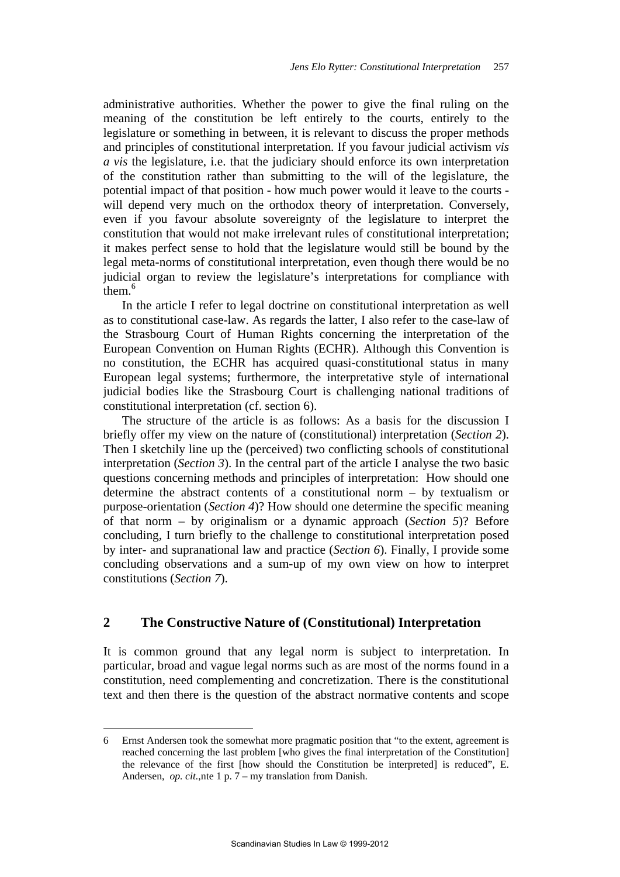administrative authorities. Whether the power to give the final ruling on the meaning of the constitution be left entirely to the courts, entirely to the legislature or something in between, it is relevant to discuss the proper methods and principles of constitutional interpretation. If you favour judicial activism *vis a vis* the legislature, i.e. that the judiciary should enforce its own interpretation of the constitution rather than submitting to the will of the legislature, the potential impact of that position - how much power would it leave to the courts will depend very much on the orthodox theory of interpretation. Conversely, even if you favour absolute sovereignty of the legislature to interpret the constitution that would not make irrelevant rules of constitutional interpretation; it makes perfect sense to hold that the legislature would still be bound by the legal meta-norms of constitutional interpretation, even though there would be no judicial organ to review the legislature's interpretations for compliance with them.<sup>6</sup>

In the article I refer to legal doctrine on constitutional interpretation as well as to constitutional case-law. As regards the latter, I also refer to the case-law of the Strasbourg Court of Human Rights concerning the interpretation of the European Convention on Human Rights (ECHR). Although this Convention is no constitution, the ECHR has acquired quasi-constitutional status in many European legal systems; furthermore, the interpretative style of international judicial bodies like the Strasbourg Court is challenging national traditions of constitutional interpretation (cf. section 6).

The structure of the article is as follows: As a basis for the discussion I briefly offer my view on the nature of (constitutional) interpretation (*Section 2*). Then I sketchily line up the (perceived) two conflicting schools of constitutional interpretation (*Section 3*). In the central part of the article I analyse the two basic questions concerning methods and principles of interpretation: How should one determine the abstract contents of a constitutional norm – by textualism or purpose-orientation (*Section 4*)? How should one determine the specific meaning of that norm – by originalism or a dynamic approach (*Section 5*)? Before concluding, I turn briefly to the challenge to constitutional interpretation posed by inter- and supranational law and practice (*Section 6*). Finally, I provide some concluding observations and a sum-up of my own view on how to interpret constitutions (*Section 7*).

# **2 The Constructive Nature of (Constitutional) Interpretation**

It is common ground that any legal norm is subject to interpretation. In particular, broad and vague legal norms such as are most of the norms found in a constitution, need complementing and concretization. There is the constitutional text and then there is the question of the abstract normative contents and scope

<sup>6</sup> Ernst Andersen took the somewhat more pragmatic position that "to the extent, agreement is reached concerning the last problem [who gives the final interpretation of the Constitution] the relevance of the first [how should the Constitution be interpreted] is reduced", E. Andersen, *op. cit.*,nte 1 p. 7 – my translation from Danish.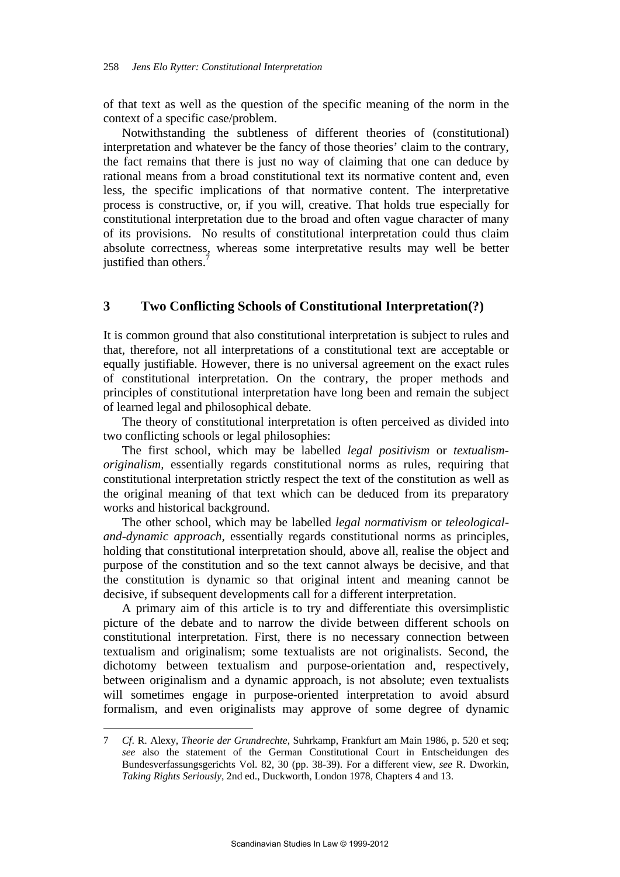of that text as well as the question of the specific meaning of the norm in the context of a specific case/problem.

Notwithstanding the subtleness of different theories of (constitutional) interpretation and whatever be the fancy of those theories' claim to the contrary, the fact remains that there is just no way of claiming that one can deduce by rational means from a broad constitutional text its normative content and, even less, the specific implications of that normative content. The interpretative process is constructive, or, if you will, creative. That holds true especially for constitutional interpretation due to the broad and often vague character of many of its provisions. No results of constitutional interpretation could thus claim absolute correctness, whereas some interpretative results may well be better justified than others.<sup>7</sup>

## **3 Two Conflicting Schools of Constitutional Interpretation(?)**

It is common ground that also constitutional interpretation is subject to rules and that, therefore, not all interpretations of a constitutional text are acceptable or equally justifiable. However, there is no universal agreement on the exact rules of constitutional interpretation. On the contrary, the proper methods and principles of constitutional interpretation have long been and remain the subject of learned legal and philosophical debate.

The theory of constitutional interpretation is often perceived as divided into two conflicting schools or legal philosophies:

The first school, which may be labelled *legal positivism* or *textualismoriginalism,* essentially regards constitutional norms as rules, requiring that constitutional interpretation strictly respect the text of the constitution as well as the original meaning of that text which can be deduced from its preparatory works and historical background.

The other school, which may be labelled *legal normativism* or *teleologicaland-dynamic approach,* essentially regards constitutional norms as principles, holding that constitutional interpretation should, above all, realise the object and purpose of the constitution and so the text cannot always be decisive, and that the constitution is dynamic so that original intent and meaning cannot be decisive, if subsequent developments call for a different interpretation.

A primary aim of this article is to try and differentiate this oversimplistic picture of the debate and to narrow the divide between different schools on constitutional interpretation. First, there is no necessary connection between textualism and originalism; some textualists are not originalists. Second, the dichotomy between textualism and purpose-orientation and, respectively, between originalism and a dynamic approach, is not absolute; even textualists will sometimes engage in purpose-oriented interpretation to avoid absurd formalism, and even originalists may approve of some degree of dynamic

<sup>7</sup> *Cf*. R. Alexy, *Theorie der Grundrechte*, Suhrkamp, Frankfurt am Main 1986, p. 520 et seq; *see* also the statement of the German Constitutional Court in Entscheidungen des Bundesverfassungsgerichts Vol. 82, 30 (pp. 38-39). For a different view, *see* R. Dworkin, *Taking Rights Seriously*, 2nd ed., Duckworth, London 1978, Chapters 4 and 13.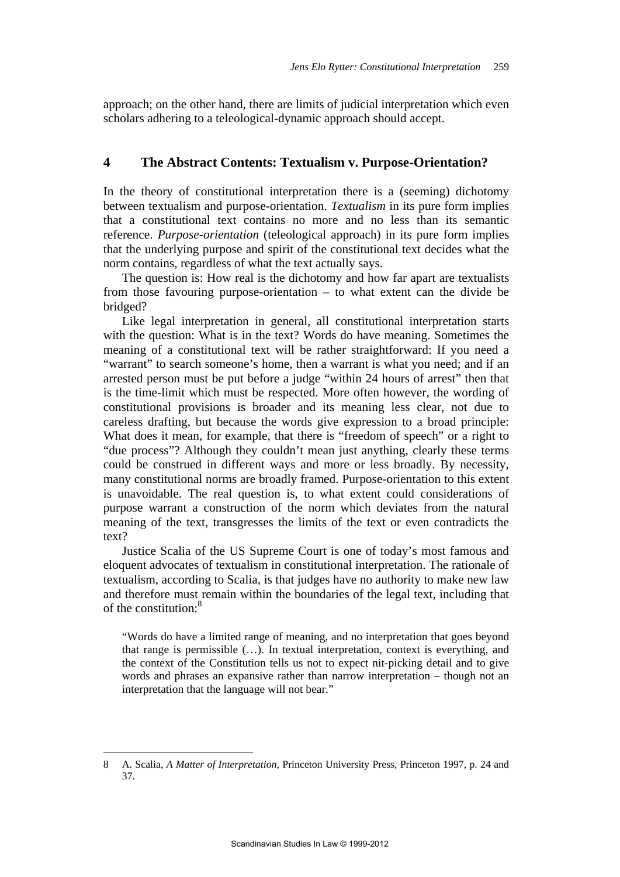approach; on the other hand, there are limits of judicial interpretation which even scholars adhering to a teleological-dynamic approach should accept.

## **4 The Abstract Contents: Textualism v. Purpose-Orientation?**

In the theory of constitutional interpretation there is a (seeming) dichotomy between textualism and purpose-orientation. *Textualism* in its pure form implies that a constitutional text contains no more and no less than its semantic reference. *Purpose-orientation* (teleological approach) in its pure form implies that the underlying purpose and spirit of the constitutional text decides what the norm contains, regardless of what the text actually says.

The question is: How real is the dichotomy and how far apart are textualists from those favouring purpose-orientation – to what extent can the divide be bridged?

Like legal interpretation in general, all constitutional interpretation starts with the question: What is in the text? Words do have meaning. Sometimes the meaning of a constitutional text will be rather straightforward: If you need a "warrant" to search someone's home, then a warrant is what you need; and if an arrested person must be put before a judge "within 24 hours of arrest" then that is the time-limit which must be respected. More often however, the wording of constitutional provisions is broader and its meaning less clear, not due to careless drafting, but because the words give expression to a broad principle: What does it mean, for example, that there is "freedom of speech" or a right to "due process"? Although they couldn't mean just anything, clearly these terms could be construed in different ways and more or less broadly. By necessity, many constitutional norms are broadly framed. Purpose-orientation to this extent is unavoidable. The real question is, to what extent could considerations of purpose warrant a construction of the norm which deviates from the natural meaning of the text, transgresses the limits of the text or even contradicts the text?

Justice Scalia of the US Supreme Court is one of today's most famous and eloquent advocates of textualism in constitutional interpretation. The rationale of textualism, according to Scalia, is that judges have no authority to make new law and therefore must remain within the boundaries of the legal text, including that of the constitution:<sup>8</sup>

"Words do have a limited range of meaning, and no interpretation that goes beyond that range is permissible (…). In textual interpretation, context is everything, and the context of the Constitution tells us not to expect nit-picking detail and to give words and phrases an expansive rather than narrow interpretation – though not an interpretation that the language will not bear."

<sup>8</sup> A. Scalia, *A Matter of Interpretation*, Princeton University Press, Princeton 1997, p. 24 and 37.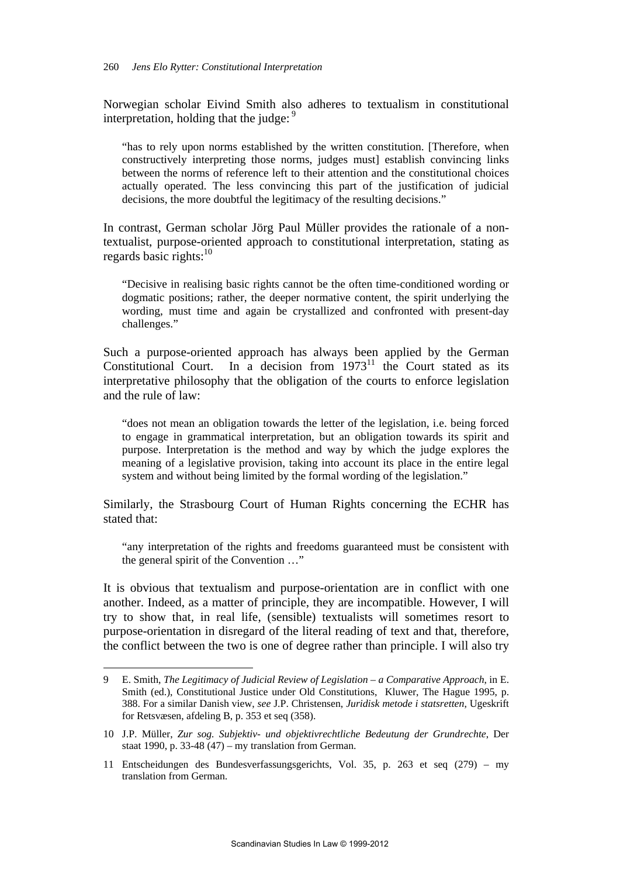Norwegian scholar Eivind Smith also adheres to textualism in constitutional interpretation, holding that the judge:  $9$ 

"has to rely upon norms established by the written constitution. [Therefore, when constructively interpreting those norms, judges must] establish convincing links between the norms of reference left to their attention and the constitutional choices actually operated. The less convincing this part of the justification of judicial decisions, the more doubtful the legitimacy of the resulting decisions."

In contrast, German scholar Jörg Paul Müller provides the rationale of a nontextualist, purpose-oriented approach to constitutional interpretation, stating as regards basic rights: $10$ 

"Decisive in realising basic rights cannot be the often time-conditioned wording or dogmatic positions; rather, the deeper normative content, the spirit underlying the wording, must time and again be crystallized and confronted with present-day challenges."

Such a purpose-oriented approach has always been applied by the German Constitutional Court. In a decision from  $1973<sup>11</sup>$  the Court stated as its interpretative philosophy that the obligation of the courts to enforce legislation and the rule of law:

"does not mean an obligation towards the letter of the legislation, i.e. being forced to engage in grammatical interpretation, but an obligation towards its spirit and purpose. Interpretation is the method and way by which the judge explores the meaning of a legislative provision, taking into account its place in the entire legal system and without being limited by the formal wording of the legislation."

Similarly, the Strasbourg Court of Human Rights concerning the ECHR has stated that:

"any interpretation of the rights and freedoms guaranteed must be consistent with the general spirit of the Convention …"

It is obvious that textualism and purpose-orientation are in conflict with one another. Indeed, as a matter of principle, they are incompatible. However, I will try to show that, in real life, (sensible) textualists will sometimes resort to purpose-orientation in disregard of the literal reading of text and that, therefore, the conflict between the two is one of degree rather than principle. I will also try

<sup>9</sup> E. Smith, *The Legitimacy of Judicial Review of Legislation – a Comparative Approach*, in E. Smith (ed.), Constitutional Justice under Old Constitutions, Kluwer, The Hague 1995, p. 388. For a similar Danish view, *see* J.P. Christensen, *Juridisk metode i statsretten*, Ugeskrift for Retsvæsen, afdeling B, p. 353 et seq (358).

<sup>10</sup> J.P. Müller, *Zur sog. Subjektiv- und objektivrechtliche Bedeutung der Grundrechte*, Der staat 1990, p. 33-48 (47) – my translation from German.

<sup>11</sup> Entscheidungen des Bundesverfassungsgerichts, Vol. 35, p. 263 et seq (279) – my translation from German.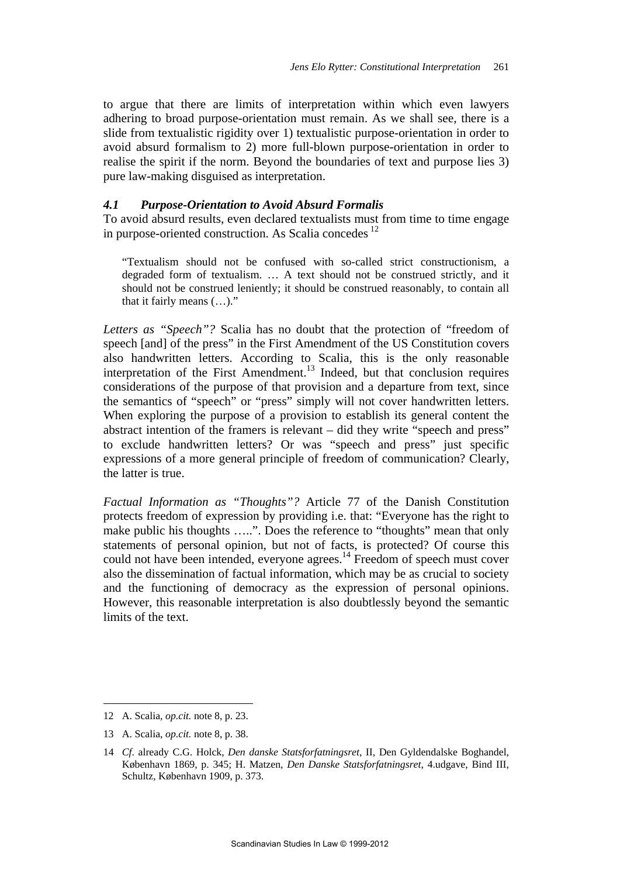to argue that there are limits of interpretation within which even lawyers adhering to broad purpose-orientation must remain. As we shall see, there is a slide from textualistic rigidity over 1) textualistic purpose-orientation in order to avoid absurd formalism to 2) more full-blown purpose-orientation in order to realise the spirit if the norm. Beyond the boundaries of text and purpose lies 3) pure law-making disguised as interpretation.

#### *4.1 Purpose-Orientation to Avoid Absurd Formalis*

To avoid absurd results, even declared textualists must from time to time engage in purpose-oriented construction. As Scalia concedes<sup>12</sup>

"Textualism should not be confused with so-called strict constructionism, a degraded form of textualism. … A text should not be construed strictly, and it should not be construed leniently; it should be construed reasonably, to contain all that it fairly means (…)."

*Letters as "Speech"?* Scalia has no doubt that the protection of "freedom of speech [and] of the press" in the First Amendment of the US Constitution covers also handwritten letters. According to Scalia, this is the only reasonable interpretation of the First Amendment.<sup>13</sup> Indeed, but that conclusion requires considerations of the purpose of that provision and a departure from text, since the semantics of "speech" or "press" simply will not cover handwritten letters. When exploring the purpose of a provision to establish its general content the abstract intention of the framers is relevant – did they write "speech and press" to exclude handwritten letters? Or was "speech and press" just specific expressions of a more general principle of freedom of communication? Clearly, the latter is true.

*Factual Information as "Thoughts"?* Article 77 of the Danish Constitution protects freedom of expression by providing i.e. that: "Everyone has the right to make public his thoughts …..". Does the reference to "thoughts" mean that only statements of personal opinion, but not of facts, is protected? Of course this could not have been intended, everyone agrees.<sup>14</sup> Freedom of speech must cover also the dissemination of factual information, which may be as crucial to society and the functioning of democracy as the expression of personal opinions. However, this reasonable interpretation is also doubtlessly beyond the semantic limits of the text.

<sup>12</sup> A. Scalia, *op.cit.* note 8, p. 23.

<sup>13</sup> A. Scalia, *op.cit.* note 8, p. 38.

<sup>14</sup> *Cf*. already C.G. Holck, *Den danske Statsforfatningsret*, II, Den Gyldendalske Boghandel, København 1869, p. 345; H. Matzen, *Den Danske Statsforfatningsret*, 4.udgave, Bind III, Schultz, København 1909, p. 373.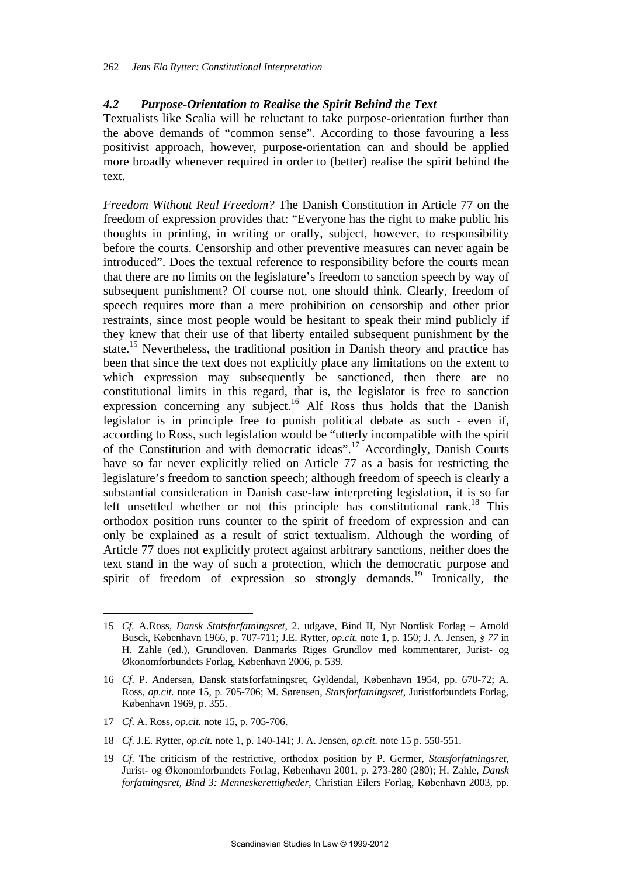## *4.2 Purpose-Orientation to Realise the Spirit Behind the Text*

Textualists like Scalia will be reluctant to take purpose-orientation further than the above demands of "common sense". According to those favouring a less positivist approach, however, purpose-orientation can and should be applied more broadly whenever required in order to (better) realise the spirit behind the text.

*Freedom Without Real Freedom?* The Danish Constitution in Article 77 on the freedom of expression provides that: "Everyone has the right to make public his thoughts in printing, in writing or orally, subject, however, to responsibility before the courts. Censorship and other preventive measures can never again be introduced". Does the textual reference to responsibility before the courts mean that there are no limits on the legislature's freedom to sanction speech by way of subsequent punishment? Of course not, one should think. Clearly, freedom of speech requires more than a mere prohibition on censorship and other prior restraints, since most people would be hesitant to speak their mind publicly if they knew that their use of that liberty entailed subsequent punishment by the state.<sup>15</sup> Nevertheless, the traditional position in Danish theory and practice has been that since the text does not explicitly place any limitations on the extent to which expression may subsequently be sanctioned, then there are no constitutional limits in this regard, that is, the legislator is free to sanction expression concerning any subject.<sup>16</sup> Alf Ross thus holds that the Danish legislator is in principle free to punish political debate as such - even if, according to Ross, such legislation would be "utterly incompatible with the spirit of the Constitution and with democratic ideas".<sup>17</sup> Accordingly, Danish Courts have so far never explicitly relied on Article 77 as a basis for restricting the legislature's freedom to sanction speech; although freedom of speech is clearly a substantial consideration in Danish case-law interpreting legislation, it is so far left unsettled whether or not this principle has constitutional rank.<sup>18</sup> This orthodox position runs counter to the spirit of freedom of expression and can only be explained as a result of strict textualism. Although the wording of Article 77 does not explicitly protect against arbitrary sanctions, neither does the text stand in the way of such a protection, which the democratic purpose and spirit of freedom of expression so strongly demands.<sup>19</sup> Ironically, the

17 *Cf*. A. Ross, *op.cit.* note 15, p. 705-706.

 $\overline{a}$ 

18 *Cf*. J.E. Rytter, *op.cit.* note 1, p. 140-141; J. A. Jensen, *op.cit.* note 15 p. 550-551.

<sup>15</sup> *Cf.* A.Ross, *Dansk Statsforfatningsret*, 2. udgave, Bind II, Nyt Nordisk Forlag – Arnold Busck, København 1966, p. 707-711; J.E. Rytter, *op.cit.* note 1, p. 150; J. A. Jensen, *§ 77* in H. Zahle (ed.), Grundloven. Danmarks Riges Grundlov med kommentarer, Jurist- og Økonomforbundets Forlag, København 2006, p. 539.

<sup>16</sup> *Cf*. P. Andersen, Dansk statsforfatningsret, Gyldendal, København 1954, pp. 670-72; A. Ross, *op.cit.* note 15, p. 705-706; M. Sørensen, *Statsforfatningsret*, Juristforbundets Forlag, København 1969, p. 355.

<sup>19</sup> *Cf*. The criticism of the restrictive, orthodox position by P. Germer, *Statsforfatningsret*, Jurist- og Økonomforbundets Forlag, København 2001, p. 273-280 (280); H. Zahle, *Dansk forfatningsret, Bind 3: Menneskerettigheder*, Christian Eilers Forlag, København 2003, pp.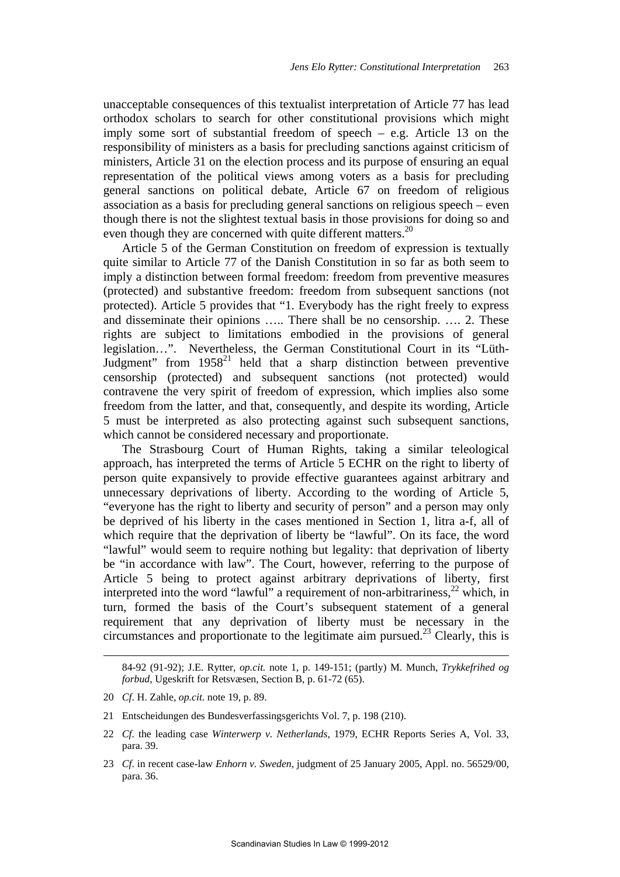unacceptable consequences of this textualist interpretation of Article 77 has lead orthodox scholars to search for other constitutional provisions which might imply some sort of substantial freedom of speech – e.g. Article 13 on the responsibility of ministers as a basis for precluding sanctions against criticism of ministers, Article 31 on the election process and its purpose of ensuring an equal representation of the political views among voters as a basis for precluding general sanctions on political debate, Article 67 on freedom of religious association as a basis for precluding general sanctions on religious speech – even though there is not the slightest textual basis in those provisions for doing so and even though they are concerned with quite different matters.<sup>20</sup>

Article 5 of the German Constitution on freedom of expression is textually quite similar to Article 77 of the Danish Constitution in so far as both seem to imply a distinction between formal freedom: freedom from preventive measures (protected) and substantive freedom: freedom from subsequent sanctions (not protected). Article 5 provides that "1. Everybody has the right freely to express and disseminate their opinions ….. There shall be no censorship. …. 2. These rights are subject to limitations embodied in the provisions of general legislation…". Nevertheless, the German Constitutional Court in its "Lüth-Judgment" from  $1958<sup>21</sup>$  held that a sharp distinction between preventive censorship (protected) and subsequent sanctions (not protected) would contravene the very spirit of freedom of expression, which implies also some freedom from the latter, and that, consequently, and despite its wording, Article 5 must be interpreted as also protecting against such subsequent sanctions, which cannot be considered necessary and proportionate.

The Strasbourg Court of Human Rights, taking a similar teleological approach, has interpreted the terms of Article 5 ECHR on the right to liberty of person quite expansively to provide effective guarantees against arbitrary and unnecessary deprivations of liberty. According to the wording of Article 5, "everyone has the right to liberty and security of person" and a person may only be deprived of his liberty in the cases mentioned in Section 1, litra a-f, all of which require that the deprivation of liberty be "lawful". On its face, the word "lawful" would seem to require nothing but legality: that deprivation of liberty be "in accordance with law". The Court, however, referring to the purpose of Article 5 being to protect against arbitrary deprivations of liberty, first interpreted into the word "lawful" a requirement of non-arbitrariness,<sup>22</sup> which, in turn, formed the basis of the Court's subsequent statement of a general requirement that any deprivation of liberty must be necessary in the circumstances and proportionate to the legitimate aim pursued.<sup>23</sup> Clearly, this is

- 21 Entscheidungen des Bundesverfassingsgerichts Vol. 7, p. 198 (210).
- 22 *Cf*. the leading case *Winterwerp v. Netherlands,* 1979, ECHR Reports Series A, Vol. 33, para. 39.
- 23 *Cf*. in recent case-law *Enhorn v. Sweden*, judgment of 25 January 2005, Appl. no. 56529/00, para. 36.

 <sup>84-92 (91-92);</sup> J.E. Rytter, *op.cit.* note 1, p. 149-151; (partly) M. Munch, *Trykkefrihed og forbud*, Ugeskrift for Retsvæsen, Section B, p. 61-72 (65).

<sup>20</sup> *Cf*. H. Zahle, *op.cit.* note 19, p. 89.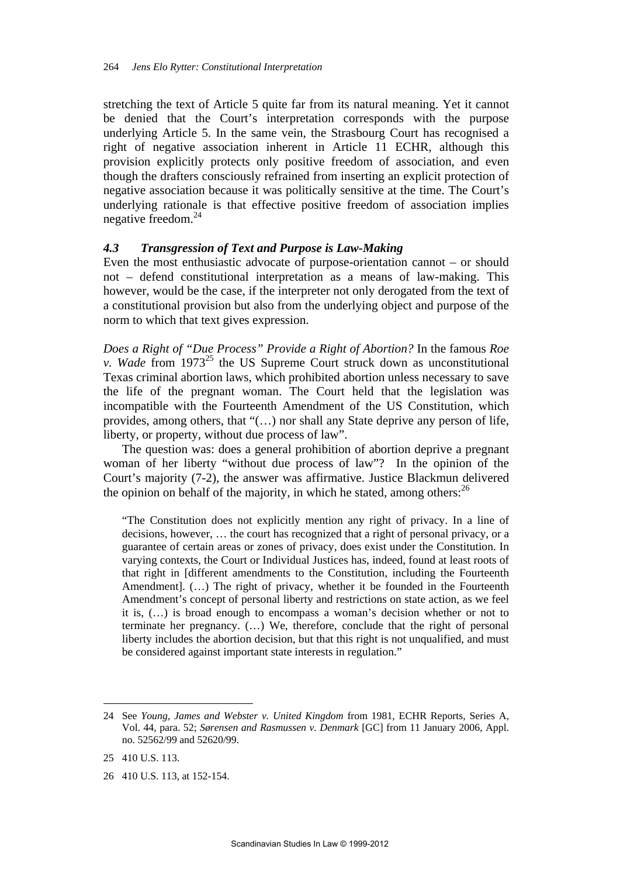stretching the text of Article 5 quite far from its natural meaning. Yet it cannot be denied that the Court's interpretation corresponds with the purpose underlying Article 5. In the same vein, the Strasbourg Court has recognised a right of negative association inherent in Article 11 ECHR, although this provision explicitly protects only positive freedom of association, and even though the drafters consciously refrained from inserting an explicit protection of negative association because it was politically sensitive at the time. The Court's underlying rationale is that effective positive freedom of association implies negative freedom.<sup>24</sup>

## *4.3 Transgression of Text and Purpose is Law-Making*

Even the most enthusiastic advocate of purpose-orientation cannot – or should not – defend constitutional interpretation as a means of law-making. This however, would be the case, if the interpreter not only derogated from the text of a constitutional provision but also from the underlying object and purpose of the norm to which that text gives expression.

*Does a Right of "Due Process" Provide a Right of Abortion?* In the famous *Roe v. Wade* from 1973<sup>25</sup> the US Supreme Court struck down as unconstitutional Texas criminal abortion laws, which prohibited abortion unless necessary to save the life of the pregnant woman. The Court held that the legislation was incompatible with the Fourteenth Amendment of the US Constitution, which provides, among others, that "(…) nor shall any State deprive any person of life, liberty, or property, without due process of law".

The question was: does a general prohibition of abortion deprive a pregnant woman of her liberty "without due process of law"? In the opinion of the Court's majority (7-2), the answer was affirmative. Justice Blackmun delivered the opinion on behalf of the majority, in which he stated, among others: $^{26}$ 

"The Constitution does not explicitly mention any right of privacy. In a line of decisions, however, … the court has recognized that a right of personal privacy, or a guarantee of certain areas or zones of privacy, does exist under the Constitution. In varying contexts, the Court or Individual Justices has, indeed, found at least roots of that right in [different amendments to the Constitution, including the Fourteenth Amendment]. (…) The right of privacy, whether it be founded in the Fourteenth Amendment's concept of personal liberty and restrictions on state action, as we feel it is, (…) is broad enough to encompass a woman's decision whether or not to terminate her pregnancy. (…) We, therefore, conclude that the right of personal liberty includes the abortion decision, but that this right is not unqualified, and must be considered against important state interests in regulation."

<sup>24</sup> See *Young, James and Webster v. United Kingdom* from 1981, ECHR Reports, Series A, Vol. 44, para. 52; *Sørensen and Rasmussen v. Denmark* [GC] from 11 January 2006, Appl. no. 52562/99 and 52620/99.

<sup>25 410</sup> U.S. 113.

<sup>26 410</sup> U.S. 113, at 152-154.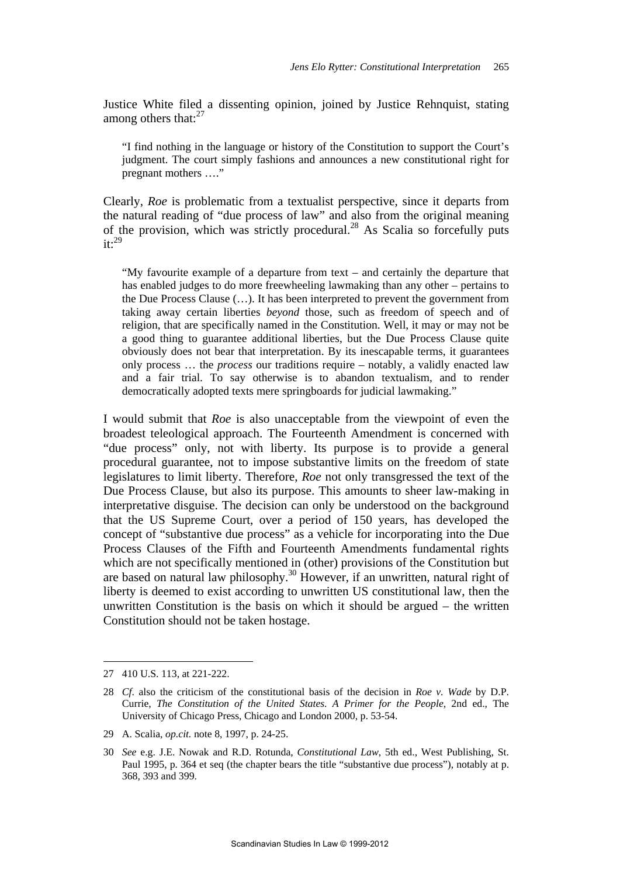Justice White filed a dissenting opinion, joined by Justice Rehnquist, stating among others that: $27$ 

"I find nothing in the language or history of the Constitution to support the Court's judgment. The court simply fashions and announces a new constitutional right for pregnant mothers …."

Clearly, *Roe* is problematic from a textualist perspective, since it departs from the natural reading of "due process of law" and also from the original meaning of the provision, which was strictly procedural.<sup>28</sup> As Scalia so forcefully puts  $it:$ <sup>29</sup>

"My favourite example of a departure from text – and certainly the departure that has enabled judges to do more freewheeling lawmaking than any other – pertains to the Due Process Clause (…). It has been interpreted to prevent the government from taking away certain liberties *beyond* those, such as freedom of speech and of religion, that are specifically named in the Constitution. Well, it may or may not be a good thing to guarantee additional liberties, but the Due Process Clause quite obviously does not bear that interpretation. By its inescapable terms, it guarantees only process … the *process* our traditions require – notably, a validly enacted law and a fair trial. To say otherwise is to abandon textualism, and to render democratically adopted texts mere springboards for judicial lawmaking."

I would submit that *Roe* is also unacceptable from the viewpoint of even the broadest teleological approach. The Fourteenth Amendment is concerned with "due process" only, not with liberty. Its purpose is to provide a general procedural guarantee, not to impose substantive limits on the freedom of state legislatures to limit liberty. Therefore, *Roe* not only transgressed the text of the Due Process Clause, but also its purpose. This amounts to sheer law-making in interpretative disguise. The decision can only be understood on the background that the US Supreme Court, over a period of 150 years, has developed the concept of "substantive due process" as a vehicle for incorporating into the Due Process Clauses of the Fifth and Fourteenth Amendments fundamental rights which are not specifically mentioned in (other) provisions of the Constitution but are based on natural law philosophy.30 However, if an unwritten, natural right of liberty is deemed to exist according to unwritten US constitutional law, then the unwritten Constitution is the basis on which it should be argued – the written Constitution should not be taken hostage.

<sup>27 410</sup> U.S. 113, at 221-222.

<sup>28</sup> *Cf*. also the criticism of the constitutional basis of the decision in *Roe v. Wade* by D.P. Currie, *The Constitution of the United States. A Primer for the People*, 2nd ed., The University of Chicago Press, Chicago and London 2000, p. 53-54.

<sup>29</sup> A. Scalia, *op.cit.* note 8, 1997, p. 24-25.

<sup>30</sup> *See* e.g. J.E. Nowak and R.D. Rotunda, *Constitutional Law*, 5th ed., West Publishing, St. Paul 1995, p. 364 et seq (the chapter bears the title "substantive due process"), notably at p. 368, 393 and 399.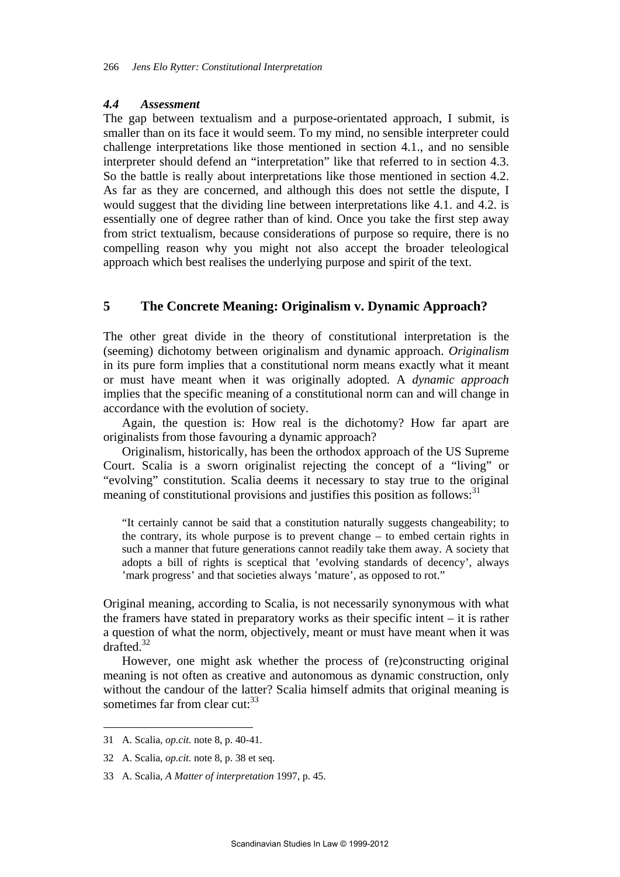#### *4.4 Assessment*

The gap between textualism and a purpose-orientated approach, I submit, is smaller than on its face it would seem. To my mind, no sensible interpreter could challenge interpretations like those mentioned in section 4.1., and no sensible interpreter should defend an "interpretation" like that referred to in section 4.3. So the battle is really about interpretations like those mentioned in section 4.2. As far as they are concerned, and although this does not settle the dispute, I would suggest that the dividing line between interpretations like 4.1. and 4.2. is essentially one of degree rather than of kind. Once you take the first step away from strict textualism, because considerations of purpose so require, there is no compelling reason why you might not also accept the broader teleological approach which best realises the underlying purpose and spirit of the text.

# **5 The Concrete Meaning: Originalism v. Dynamic Approach?**

The other great divide in the theory of constitutional interpretation is the (seeming) dichotomy between originalism and dynamic approach. *Originalism* in its pure form implies that a constitutional norm means exactly what it meant or must have meant when it was originally adopted. A *dynamic approach* implies that the specific meaning of a constitutional norm can and will change in accordance with the evolution of society.

Again, the question is: How real is the dichotomy? How far apart are originalists from those favouring a dynamic approach?

Originalism, historically, has been the orthodox approach of the US Supreme Court. Scalia is a sworn originalist rejecting the concept of a "living" or "evolving" constitution. Scalia deems it necessary to stay true to the original meaning of constitutional provisions and justifies this position as follows: $31$ 

"It certainly cannot be said that a constitution naturally suggests changeability; to the contrary, its whole purpose is to prevent change – to embed certain rights in such a manner that future generations cannot readily take them away. A society that adopts a bill of rights is sceptical that 'evolving standards of decency', always 'mark progress' and that societies always 'mature', as opposed to rot."

Original meaning, according to Scalia, is not necessarily synonymous with what the framers have stated in preparatory works as their specific intent – it is rather a question of what the norm, objectively, meant or must have meant when it was drafted  $32$ 

However, one might ask whether the process of (re)constructing original meaning is not often as creative and autonomous as dynamic construction, only without the candour of the latter? Scalia himself admits that original meaning is sometimes far from clear cut:<sup>33</sup>

<sup>31</sup> A. Scalia, *op.cit.* note 8, p. 40-41.

<sup>32</sup> A. Scalia, *op.cit.* note 8, p. 38 et seq.

<sup>33</sup> A. Scalia, *A Matter of interpretation* 1997, p. 45.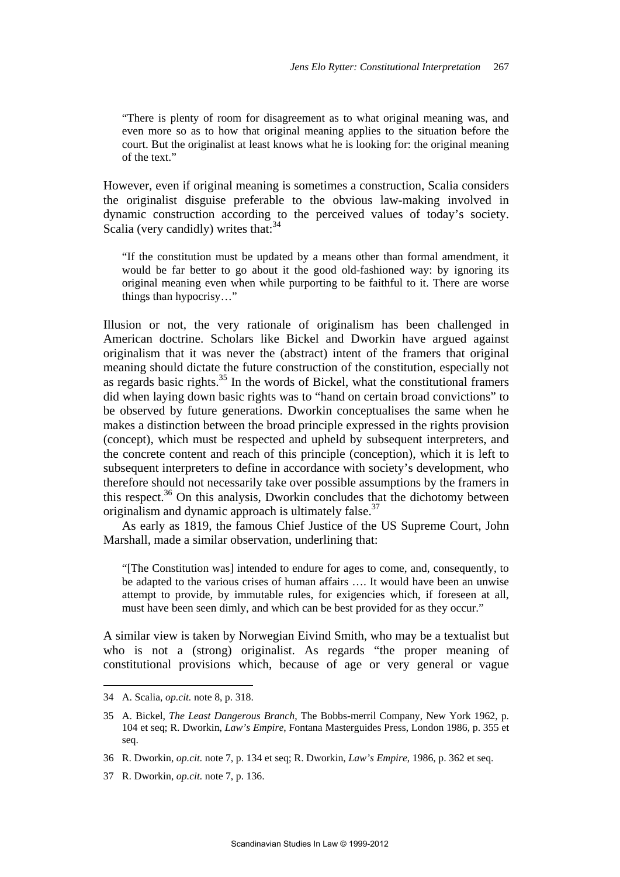"There is plenty of room for disagreement as to what original meaning was, and even more so as to how that original meaning applies to the situation before the court. But the originalist at least knows what he is looking for: the original meaning of the text."

However, even if original meaning is sometimes a construction, Scalia considers the originalist disguise preferable to the obvious law-making involved in dynamic construction according to the perceived values of today's society. Scalia (very candidly) writes that: $34$ 

"If the constitution must be updated by a means other than formal amendment, it would be far better to go about it the good old-fashioned way: by ignoring its original meaning even when while purporting to be faithful to it. There are worse things than hypocrisy…"

Illusion or not, the very rationale of originalism has been challenged in American doctrine. Scholars like Bickel and Dworkin have argued against originalism that it was never the (abstract) intent of the framers that original meaning should dictate the future construction of the constitution, especially not as regards basic rights.<sup>35</sup> In the words of Bickel, what the constitutional framers did when laying down basic rights was to "hand on certain broad convictions" to be observed by future generations. Dworkin conceptualises the same when he makes a distinction between the broad principle expressed in the rights provision (concept), which must be respected and upheld by subsequent interpreters, and the concrete content and reach of this principle (conception), which it is left to subsequent interpreters to define in accordance with society's development, who therefore should not necessarily take over possible assumptions by the framers in this respect.36 On this analysis, Dworkin concludes that the dichotomy between originalism and dynamic approach is ultimately false.<sup>37</sup>

As early as 1819, the famous Chief Justice of the US Supreme Court, John Marshall, made a similar observation, underlining that:

"[The Constitution was] intended to endure for ages to come, and, consequently, to be adapted to the various crises of human affairs …. It would have been an unwise attempt to provide, by immutable rules, for exigencies which, if foreseen at all, must have been seen dimly, and which can be best provided for as they occur."

A similar view is taken by Norwegian Eivind Smith, who may be a textualist but who is not a (strong) originalist. As regards "the proper meaning of constitutional provisions which, because of age or very general or vague

<sup>34</sup> A. Scalia, *op.cit.* note 8, p. 318.

<sup>35</sup> A. Bickel, *The Least Dangerous Branch*, The Bobbs-merril Company, New York 1962, p. 104 et seq; R. Dworkin, *Law's Empire*, Fontana Masterguides Press, London 1986, p. 355 et seq.

<sup>36</sup> R. Dworkin, *op.cit.* note 7, p. 134 et seq; R. Dworkin, *Law's Empire*, 1986, p. 362 et seq.

<sup>37</sup> R. Dworkin, *op.cit.* note 7, p. 136.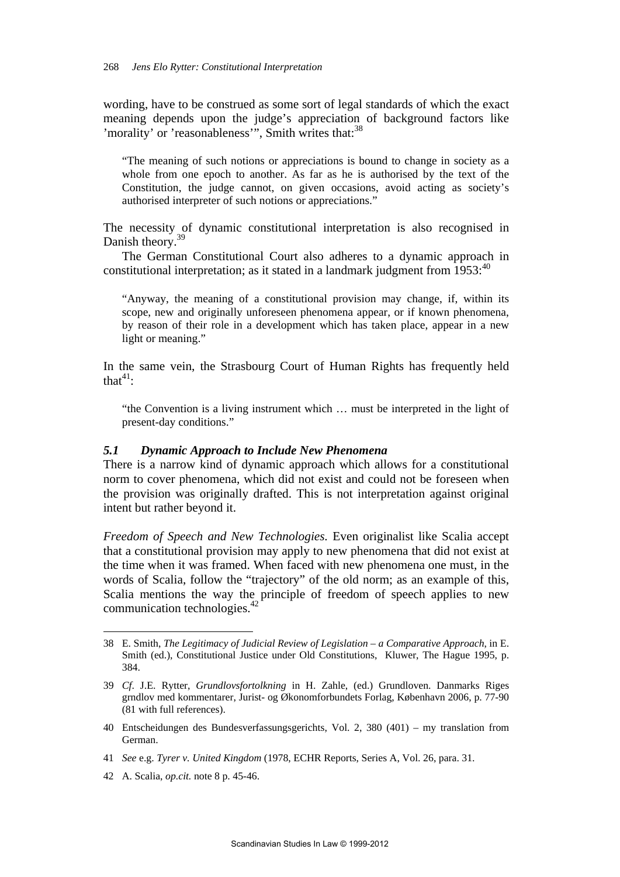wording, have to be construed as some sort of legal standards of which the exact meaning depends upon the judge's appreciation of background factors like 'morality' or 'reasonableness'". Smith writes that: $38$ 

"The meaning of such notions or appreciations is bound to change in society as a whole from one epoch to another. As far as he is authorised by the text of the Constitution, the judge cannot, on given occasions, avoid acting as society's authorised interpreter of such notions or appreciations."

The necessity of dynamic constitutional interpretation is also recognised in Danish theory.<sup>39</sup>

The German Constitutional Court also adheres to a dynamic approach in constitutional interpretation; as it stated in a landmark judgment from  $1953$ :<sup>40</sup>

"Anyway, the meaning of a constitutional provision may change, if, within its scope, new and originally unforeseen phenomena appear, or if known phenomena, by reason of their role in a development which has taken place, appear in a new light or meaning."

In the same vein, the Strasbourg Court of Human Rights has frequently held that $41$ :

"the Convention is a living instrument which … must be interpreted in the light of present-day conditions."

#### *5.1 Dynamic Approach to Include New Phenomena*

There is a narrow kind of dynamic approach which allows for a constitutional norm to cover phenomena, which did not exist and could not be foreseen when the provision was originally drafted. This is not interpretation against original intent but rather beyond it.

*Freedom of Speech and New Technologies.* Even originalist like Scalia accept that a constitutional provision may apply to new phenomena that did not exist at the time when it was framed. When faced with new phenomena one must, in the words of Scalia, follow the "trajectory" of the old norm; as an example of this, Scalia mentions the way the principle of freedom of speech applies to new communication technologies.42

<sup>38</sup> E. Smith, *The Legitimacy of Judicial Review of Legislation – a Comparative Approach*, in E. Smith (ed.), Constitutional Justice under Old Constitutions, Kluwer, The Hague 1995, p. 384.

<sup>39</sup> *Cf*. J.E. Rytter, *Grundlovsfortolkning* in H. Zahle, (ed.) Grundloven. Danmarks Riges grndlov med kommentarer, Jurist- og Økonomforbundets Forlag, København 2006, p. 77-90 (81 with full references).

<sup>40</sup> Entscheidungen des Bundesverfassungsgerichts, Vol. 2, 380 (401) – my translation from German.

<sup>41</sup> *See* e.g. *Tyrer v. United Kingdom* (1978, ECHR Reports, Series A, Vol. 26, para. 31.

<sup>42</sup> A. Scalia, *op.cit.* note 8 p. 45-46.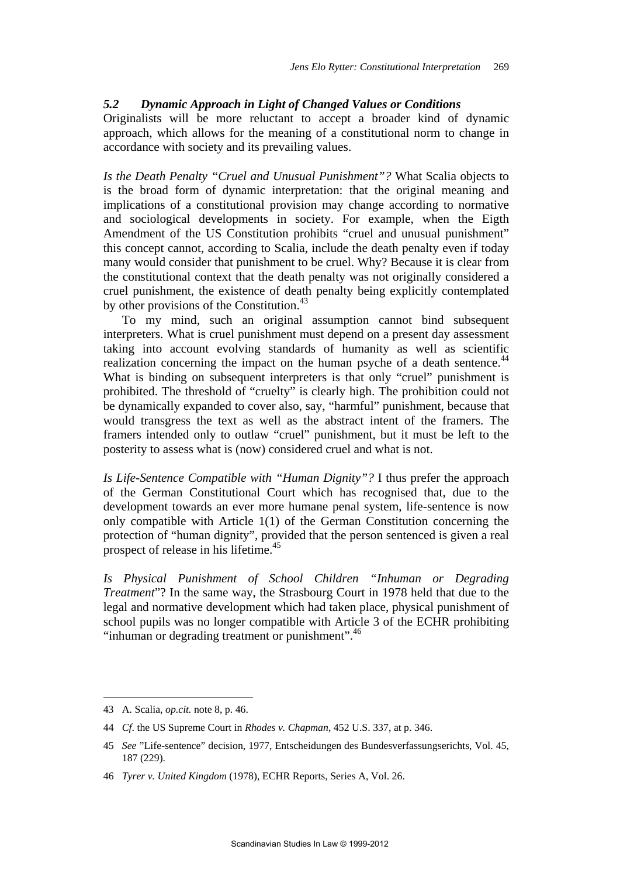#### *5.2 Dynamic Approach in Light of Changed Values or Conditions*

Originalists will be more reluctant to accept a broader kind of dynamic approach, which allows for the meaning of a constitutional norm to change in accordance with society and its prevailing values.

*Is the Death Penalty "Cruel and Unusual Punishment"?* What Scalia objects to is the broad form of dynamic interpretation: that the original meaning and implications of a constitutional provision may change according to normative and sociological developments in society. For example, when the Eigth Amendment of the US Constitution prohibits "cruel and unusual punishment" this concept cannot, according to Scalia, include the death penalty even if today many would consider that punishment to be cruel. Why? Because it is clear from the constitutional context that the death penalty was not originally considered a cruel punishment, the existence of death penalty being explicitly contemplated by other provisions of the Constitution.<sup>43</sup>

To my mind, such an original assumption cannot bind subsequent interpreters. What is cruel punishment must depend on a present day assessment taking into account evolving standards of humanity as well as scientific realization concerning the impact on the human psyche of a death sentence.<sup>44</sup> What is binding on subsequent interpreters is that only "cruel" punishment is prohibited. The threshold of "cruelty" is clearly high. The prohibition could not be dynamically expanded to cover also, say, "harmful" punishment, because that would transgress the text as well as the abstract intent of the framers. The framers intended only to outlaw "cruel" punishment, but it must be left to the posterity to assess what is (now) considered cruel and what is not.

*Is Life-Sentence Compatible with "Human Dignity"?* I thus prefer the approach of the German Constitutional Court which has recognised that, due to the development towards an ever more humane penal system, life-sentence is now only compatible with Article 1(1) of the German Constitution concerning the protection of "human dignity", provided that the person sentenced is given a real prospect of release in his lifetime.<sup>45</sup>

*Is Physical Punishment of School Children "Inhuman or Degrading Treatment*"? In the same way, the Strasbourg Court in 1978 held that due to the legal and normative development which had taken place, physical punishment of school pupils was no longer compatible with Article 3 of the ECHR prohibiting "inhuman or degrading treatment or punishment".<sup>46</sup>

<sup>43</sup> A. Scalia, *op.cit.* note 8, p. 46.

<sup>44</sup> *Cf*. the US Supreme Court in *Rhodes v. Chapman*, 452 U.S. 337, at p. 346.

<sup>45</sup> *See* "Life-sentence" decision, 1977, Entscheidungen des Bundesverfassungserichts, Vol. 45, 187 (229).

<sup>46</sup> *Tyrer v. United Kingdom* (1978), ECHR Reports, Series A, Vol. 26.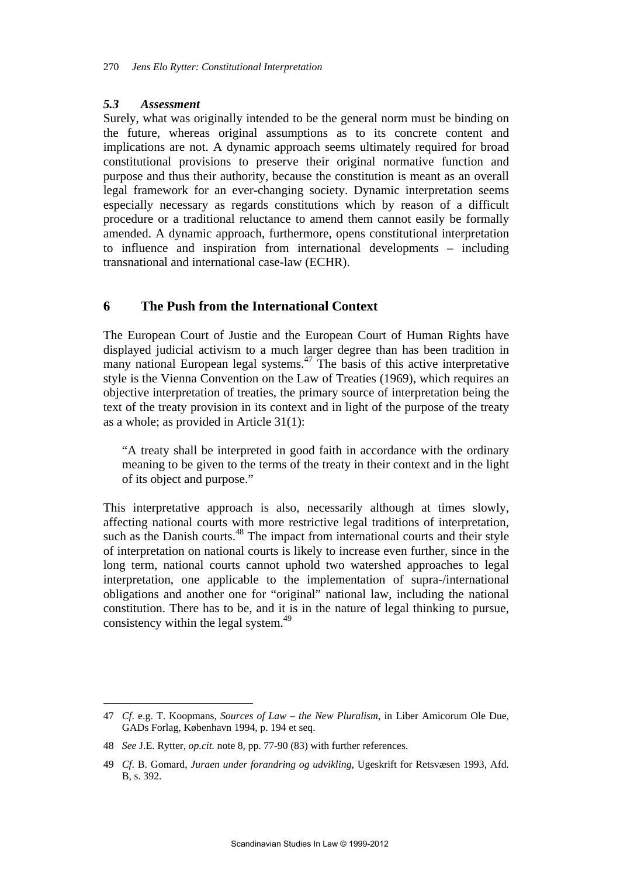## *5.3 Assessment*

Surely, what was originally intended to be the general norm must be binding on the future, whereas original assumptions as to its concrete content and implications are not. A dynamic approach seems ultimately required for broad constitutional provisions to preserve their original normative function and purpose and thus their authority, because the constitution is meant as an overall legal framework for an ever-changing society. Dynamic interpretation seems especially necessary as regards constitutions which by reason of a difficult procedure or a traditional reluctance to amend them cannot easily be formally amended. A dynamic approach, furthermore, opens constitutional interpretation to influence and inspiration from international developments – including transnational and international case-law (ECHR).

# **6 The Push from the International Context**

The European Court of Justie and the European Court of Human Rights have displayed judicial activism to a much larger degree than has been tradition in many national European legal systems.<sup>47</sup> The basis of this active interpretative style is the Vienna Convention on the Law of Treaties (1969), which requires an objective interpretation of treaties, the primary source of interpretation being the text of the treaty provision in its context and in light of the purpose of the treaty as a whole; as provided in Article 31(1):

"A treaty shall be interpreted in good faith in accordance with the ordinary meaning to be given to the terms of the treaty in their context and in the light of its object and purpose."

This interpretative approach is also, necessarily although at times slowly, affecting national courts with more restrictive legal traditions of interpretation, such as the Danish courts.<sup>48</sup> The impact from international courts and their style of interpretation on national courts is likely to increase even further, since in the long term, national courts cannot uphold two watershed approaches to legal interpretation, one applicable to the implementation of supra-/international obligations and another one for "original" national law, including the national constitution. There has to be, and it is in the nature of legal thinking to pursue, consistency within the legal system.<sup>49</sup>

<sup>47</sup> *Cf*. e.g. T. Koopmans, *Sources of Law – the New Pluralism*, in Liber Amicorum Ole Due, GADs Forlag, København 1994, p. 194 et seq.

<sup>48</sup> *See* J.E. Rytter*, op.cit.* note 8, pp. 77-90 (83) with further references.

<sup>49</sup> *Cf*. B. Gomard, *Juraen under forandring og udvikling*, Ugeskrift for Retsvæsen 1993, Afd. B, s. 392.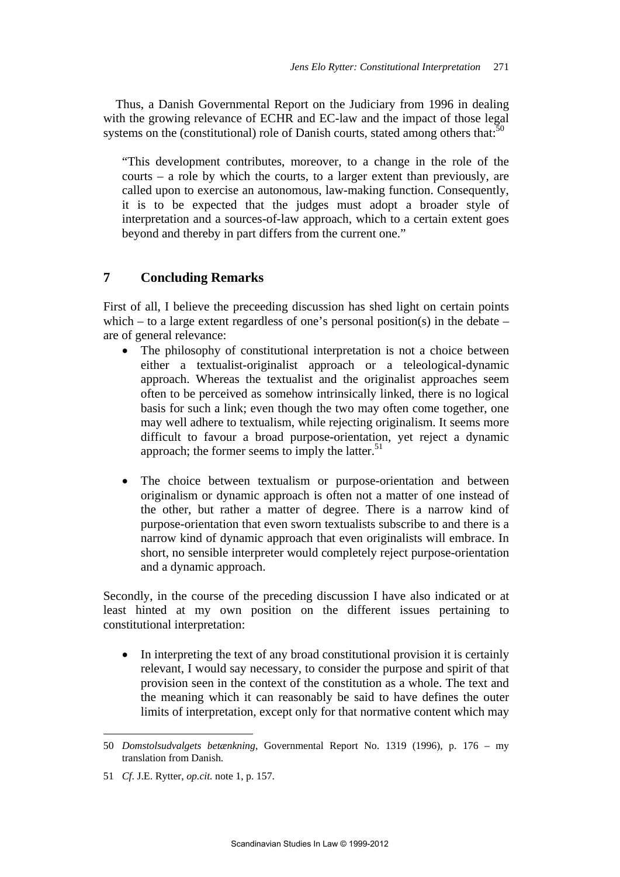Thus, a Danish Governmental Report on the Judiciary from 1996 in dealing with the growing relevance of ECHR and EC-law and the impact of those legal systems on the (constitutional) role of Danish courts, stated among others that: $50$ 

"This development contributes, moreover, to a change in the role of the courts – a role by which the courts, to a larger extent than previously, are called upon to exercise an autonomous, law-making function. Consequently, it is to be expected that the judges must adopt a broader style of interpretation and a sources-of-law approach, which to a certain extent goes beyond and thereby in part differs from the current one."

# **7 Concluding Remarks**

First of all, I believe the preceeding discussion has shed light on certain points which – to a large extent regardless of one's personal position(s) in the debate – are of general relevance:

- The philosophy of constitutional interpretation is not a choice between either a textualist-originalist approach or a teleological-dynamic approach. Whereas the textualist and the originalist approaches seem often to be perceived as somehow intrinsically linked, there is no logical basis for such a link; even though the two may often come together, one may well adhere to textualism, while rejecting originalism. It seems more difficult to favour a broad purpose-orientation, yet reject a dynamic approach; the former seems to imply the latter. $51$
- The choice between textualism or purpose-orientation and between originalism or dynamic approach is often not a matter of one instead of the other, but rather a matter of degree. There is a narrow kind of purpose-orientation that even sworn textualists subscribe to and there is a narrow kind of dynamic approach that even originalists will embrace. In short, no sensible interpreter would completely reject purpose-orientation and a dynamic approach.

Secondly, in the course of the preceding discussion I have also indicated or at least hinted at my own position on the different issues pertaining to constitutional interpretation:

 In interpreting the text of any broad constitutional provision it is certainly relevant, I would say necessary, to consider the purpose and spirit of that provision seen in the context of the constitution as a whole. The text and the meaning which it can reasonably be said to have defines the outer limits of interpretation, except only for that normative content which may

<sup>50</sup> *Domstolsudvalgets betænkning*, Governmental Report No. 1319 (1996), p. 176 – my translation from Danish.

<sup>51</sup> *Cf*. J.E. Rytter, *op.cit.* note 1, p. 157.